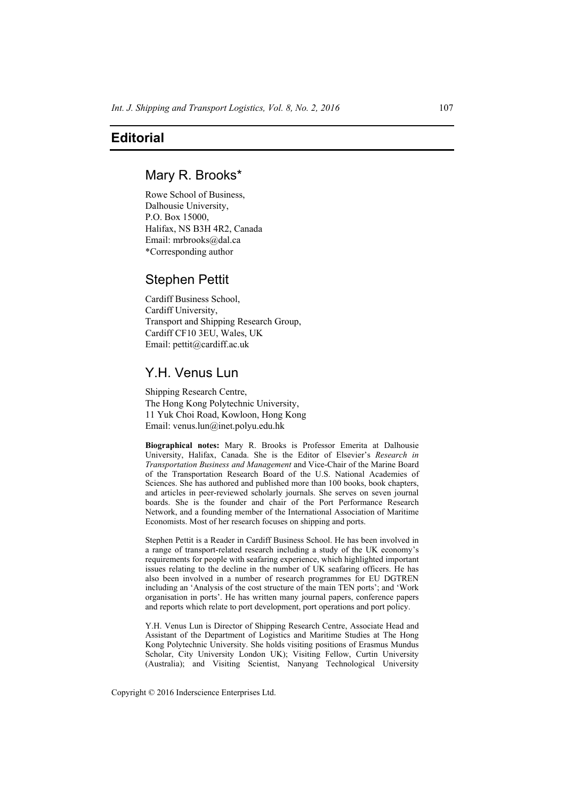## **Editorial**

### Mary R. Brooks\*

Rowe School of Business, Dalhousie University, P.O. Box 15000, Halifax, NS B3H 4R2, Canada Email: mrbrooks@dal.ca \*Corresponding author

## Stephen Pettit

Cardiff Business School, Cardiff University, Transport and Shipping Research Group, Cardiff CF10 3EU, Wales, UK Email: pettit@cardiff.ac.uk

# Y.H. Venus Lun

Shipping Research Centre, The Hong Kong Polytechnic University, 11 Yuk Choi Road, Kowloon, Hong Kong Email: venus.lun@inet.polyu.edu.hk

**Biographical notes:** Mary R. Brooks is Professor Emerita at Dalhousie University, Halifax, Canada. She is the Editor of Elsevier's *Research in Transportation Business and Management* and Vice-Chair of the Marine Board of the Transportation Research Board of the U.S. National Academies of Sciences. She has authored and published more than 100 books, book chapters, and articles in peer-reviewed scholarly journals. She serves on seven journal boards. She is the founder and chair of the Port Performance Research Network, and a founding member of the International Association of Maritime Economists. Most of her research focuses on shipping and ports.

Stephen Pettit is a Reader in Cardiff Business School. He has been involved in a range of transport-related research including a study of the UK economy's requirements for people with seafaring experience, which highlighted important issues relating to the decline in the number of UK seafaring officers. He has also been involved in a number of research programmes for EU DGTREN including an 'Analysis of the cost structure of the main TEN ports'; and 'Work organisation in ports'. He has written many journal papers, conference papers and reports which relate to port development, port operations and port policy.

Y.H. Venus Lun is Director of Shipping Research Centre, Associate Head and Assistant of the Department of Logistics and Maritime Studies at The Hong Kong Polytechnic University. She holds visiting positions of Erasmus Mundus Scholar, City University London UK); Visiting Fellow, Curtin University (Australia); and Visiting Scientist, Nanyang Technological University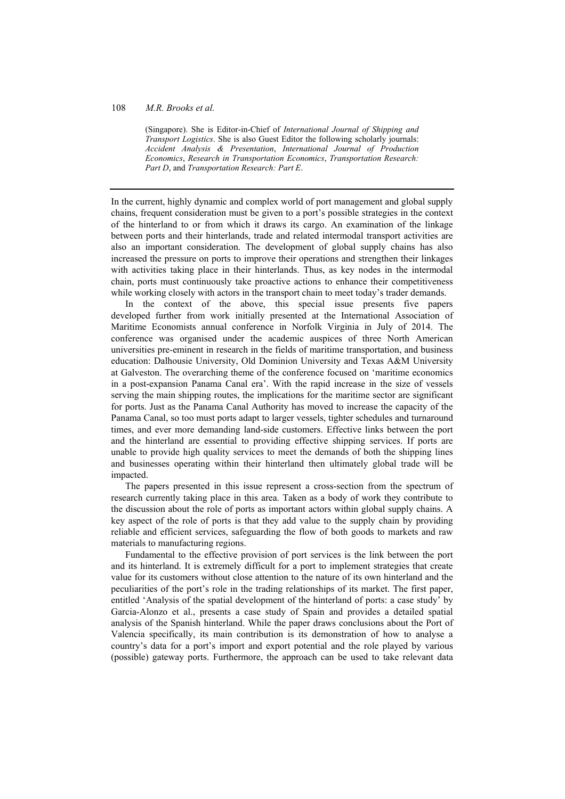### 108 *M.R. Brooks et al.*

(Singapore). She is Editor-in-Chief of *International Journal of Shipping and Transport Logistics*. She is also Guest Editor the following scholarly journals: *Accident Analysis & Presentation*, *International Journal of Production Economics*, *Research in Transportation Economics*, *Transportation Research: Part D*, and *Transportation Research: Part E*.

In the current, highly dynamic and complex world of port management and global supply chains, frequent consideration must be given to a port's possible strategies in the context of the hinterland to or from which it draws its cargo. An examination of the linkage between ports and their hinterlands, trade and related intermodal transport activities are also an important consideration. The development of global supply chains has also increased the pressure on ports to improve their operations and strengthen their linkages with activities taking place in their hinterlands. Thus, as key nodes in the intermodal chain, ports must continuously take proactive actions to enhance their competitiveness while working closely with actors in the transport chain to meet today's trader demands.

In the context of the above, this special issue presents five papers developed further from work initially presented at the International Association of Maritime Economists annual conference in Norfolk Virginia in July of 2014. The conference was organised under the academic auspices of three North American universities pre-eminent in research in the fields of maritime transportation, and business education: Dalhousie University, Old Dominion University and Texas A&M University at Galveston. The overarching theme of the conference focused on 'maritime economics in a post-expansion Panama Canal era'. With the rapid increase in the size of vessels serving the main shipping routes, the implications for the maritime sector are significant for ports. Just as the Panama Canal Authority has moved to increase the capacity of the Panama Canal, so too must ports adapt to larger vessels, tighter schedules and turnaround times, and ever more demanding land-side customers. Effective links between the port and the hinterland are essential to providing effective shipping services. If ports are unable to provide high quality services to meet the demands of both the shipping lines and businesses operating within their hinterland then ultimately global trade will be impacted.

The papers presented in this issue represent a cross-section from the spectrum of research currently taking place in this area. Taken as a body of work they contribute to the discussion about the role of ports as important actors within global supply chains. A key aspect of the role of ports is that they add value to the supply chain by providing reliable and efficient services, safeguarding the flow of both goods to markets and raw materials to manufacturing regions.

Fundamental to the effective provision of port services is the link between the port and its hinterland. It is extremely difficult for a port to implement strategies that create value for its customers without close attention to the nature of its own hinterland and the peculiarities of the port's role in the trading relationships of its market. The first paper, entitled 'Analysis of the spatial development of the hinterland of ports: a case study' by Garcia-Alonzo et al., presents a case study of Spain and provides a detailed spatial analysis of the Spanish hinterland. While the paper draws conclusions about the Port of Valencia specifically, its main contribution is its demonstration of how to analyse a country's data for a port's import and export potential and the role played by various (possible) gateway ports. Furthermore, the approach can be used to take relevant data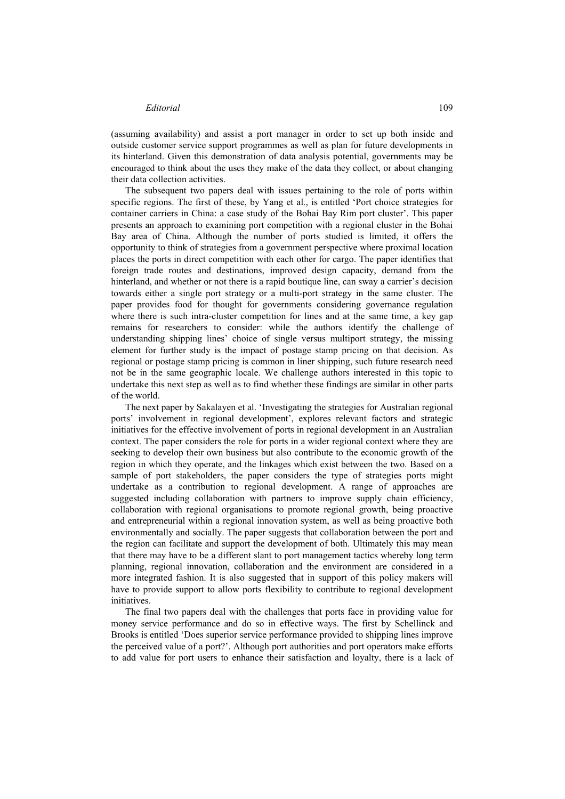#### *Editorial* 109

(assuming availability) and assist a port manager in order to set up both inside and outside customer service support programmes as well as plan for future developments in its hinterland. Given this demonstration of data analysis potential, governments may be encouraged to think about the uses they make of the data they collect, or about changing their data collection activities.

The subsequent two papers deal with issues pertaining to the role of ports within specific regions. The first of these, by Yang et al., is entitled 'Port choice strategies for container carriers in China: a case study of the Bohai Bay Rim port cluster'. This paper presents an approach to examining port competition with a regional cluster in the Bohai Bay area of China. Although the number of ports studied is limited, it offers the opportunity to think of strategies from a government perspective where proximal location places the ports in direct competition with each other for cargo. The paper identifies that foreign trade routes and destinations, improved design capacity, demand from the hinterland, and whether or not there is a rapid boutique line, can sway a carrier's decision towards either a single port strategy or a multi-port strategy in the same cluster. The paper provides food for thought for governments considering governance regulation where there is such intra-cluster competition for lines and at the same time, a key gap remains for researchers to consider: while the authors identify the challenge of understanding shipping lines' choice of single versus multiport strategy, the missing element for further study is the impact of postage stamp pricing on that decision. As regional or postage stamp pricing is common in liner shipping, such future research need not be in the same geographic locale. We challenge authors interested in this topic to undertake this next step as well as to find whether these findings are similar in other parts of the world.

The next paper by Sakalayen et al. 'Investigating the strategies for Australian regional ports' involvement in regional development', explores relevant factors and strategic initiatives for the effective involvement of ports in regional development in an Australian context. The paper considers the role for ports in a wider regional context where they are seeking to develop their own business but also contribute to the economic growth of the region in which they operate, and the linkages which exist between the two. Based on a sample of port stakeholders, the paper considers the type of strategies ports might undertake as a contribution to regional development. A range of approaches are suggested including collaboration with partners to improve supply chain efficiency, collaboration with regional organisations to promote regional growth, being proactive and entrepreneurial within a regional innovation system, as well as being proactive both environmentally and socially. The paper suggests that collaboration between the port and the region can facilitate and support the development of both. Ultimately this may mean that there may have to be a different slant to port management tactics whereby long term planning, regional innovation, collaboration and the environment are considered in a more integrated fashion. It is also suggested that in support of this policy makers will have to provide support to allow ports flexibility to contribute to regional development initiatives.

The final two papers deal with the challenges that ports face in providing value for money service performance and do so in effective ways. The first by Schellinck and Brooks is entitled 'Does superior service performance provided to shipping lines improve the perceived value of a port?'. Although port authorities and port operators make efforts to add value for port users to enhance their satisfaction and loyalty, there is a lack of